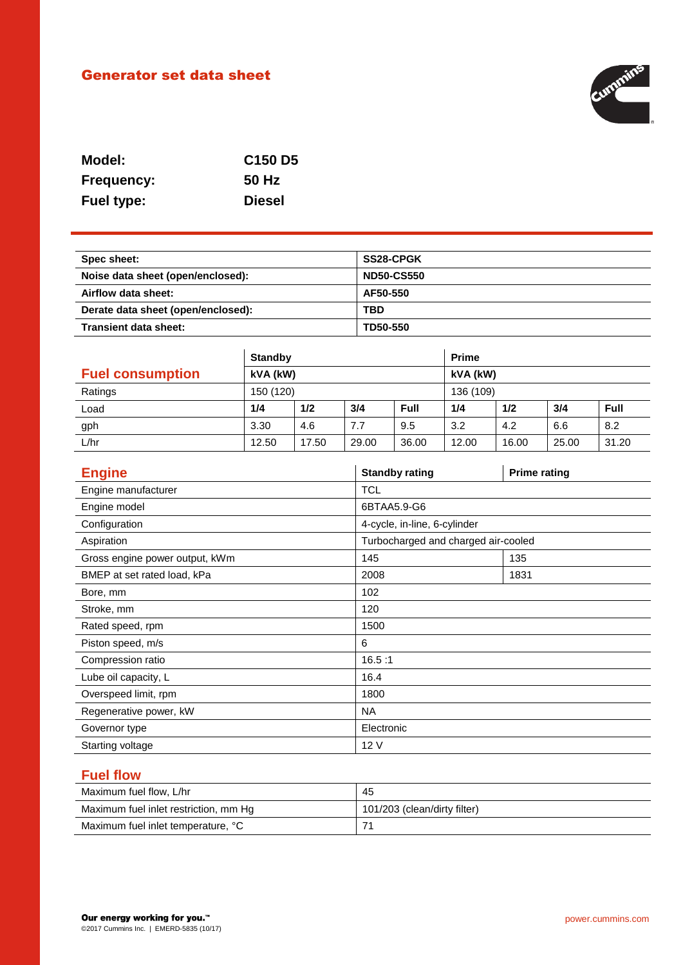# Generator set data sheet



| Model:            | C <sub>150</sub> D <sub>5</sub> |
|-------------------|---------------------------------|
| <b>Frequency:</b> | 50 Hz                           |
| <b>Fuel type:</b> | <b>Diesel</b>                   |

| Spec sheet:                        | <b>SS28-CPGK</b>  |
|------------------------------------|-------------------|
| Noise data sheet (open/enclosed):  | <b>ND50-CS550</b> |
| Airflow data sheet:                | AF50-550          |
| Derate data sheet (open/enclosed): | <b>TBD</b>        |
| Transient data sheet:              | TD50-550          |

|                         | <b>Standby</b> |       |       | <b>Prime</b> |       |       |       |       |
|-------------------------|----------------|-------|-------|--------------|-------|-------|-------|-------|
| <b>Fuel consumption</b> | kVA (kW)       |       |       | kVA (kW)     |       |       |       |       |
| Ratings                 | 150 (120)      |       |       | 136 (109)    |       |       |       |       |
| Load                    | 1/4            | 1/2   | 3/4   | Full         | 1/4   | 1/2   | 3/4   | Full  |
| gph                     | 3.30           | 4.6   | 7.7   | 9.5          | 3.2   | 4.2   | 6.6   | 8.2   |
| L/hr                    | 12.50          | 17.50 | 29.00 | 36.00        | 12.00 | 16.00 | 25.00 | 31.20 |

| <b>Engine</b>                  | <b>Standby rating</b>               | <b>Prime rating</b> |  |
|--------------------------------|-------------------------------------|---------------------|--|
| Engine manufacturer            | <b>TCL</b>                          |                     |  |
| Engine model                   | 6BTAA5.9-G6                         |                     |  |
| Configuration                  | 4-cycle, in-line, 6-cylinder        |                     |  |
| Aspiration                     | Turbocharged and charged air-cooled |                     |  |
| Gross engine power output, kWm | 145                                 | 135                 |  |
| BMEP at set rated load, kPa    | 2008                                | 1831                |  |
| Bore, mm                       | 102                                 |                     |  |
| Stroke, mm                     | 120                                 |                     |  |
| Rated speed, rpm               | 1500                                |                     |  |
| Piston speed, m/s              | 6                                   |                     |  |
| Compression ratio              | 16.5:1                              |                     |  |
| Lube oil capacity, L           | 16.4                                |                     |  |
| Overspeed limit, rpm           | 1800                                |                     |  |
| Regenerative power, kW         | <b>NA</b>                           |                     |  |
| Governor type                  | Electronic                          |                     |  |
| Starting voltage               | 12V                                 |                     |  |

# **Fuel flow**

| Maximum fuel flow, L/hr               | 45                           |
|---------------------------------------|------------------------------|
| Maximum fuel inlet restriction, mm Hg | 101/203 (clean/dirty filter) |
| Maximum fuel inlet temperature, °C    |                              |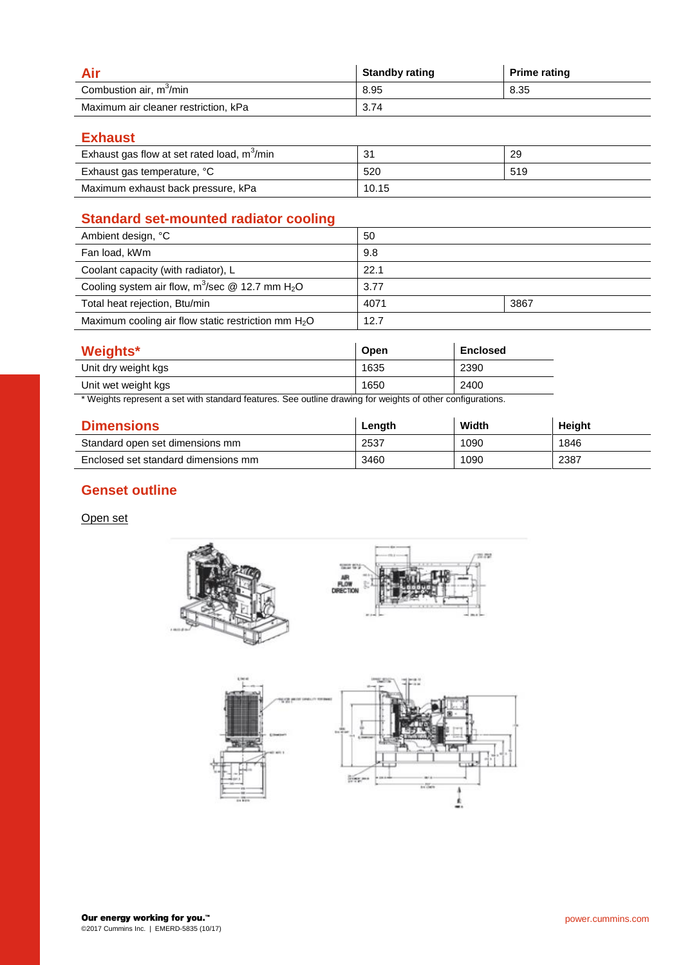|                                      | <b>Standby rating</b> | <b>Prime rating</b> |
|--------------------------------------|-----------------------|---------------------|
| Combustion air, m <sup>3</sup> /min  | 8.95                  | 8.35                |
| Maximum air cleaner restriction, kPa | 3.74                  |                     |

**Exhaust**

| Exhaust gas flow at set rated load, m <sup>3</sup> /min | -31   | 29  |
|---------------------------------------------------------|-------|-----|
| Exhaust gas temperature, °C                             | 520   | 519 |
| Maximum exhaust back pressure, kPa                      | 10.15 |     |

# **Standard set-mounted radiator cooling**

| Ambient design, °C                                             | 50   |      |
|----------------------------------------------------------------|------|------|
| Fan load, kWm                                                  | 9.8  |      |
| Coolant capacity (with radiator), L                            | 22.1 |      |
| Cooling system air flow, $m^3$ /sec @ 12.7 mm H <sub>2</sub> O | 3.77 |      |
| Total heat rejection, Btu/min                                  | 4071 | 3867 |
| Maximum cooling air flow static restriction mm $H_2O$          | 12.7 |      |
|                                                                |      |      |

| Weights*                                                                                                                                                                                                                                                | Open | <b>Enclosed</b>    |
|---------------------------------------------------------------------------------------------------------------------------------------------------------------------------------------------------------------------------------------------------------|------|--------------------|
| Unit dry weight kgs                                                                                                                                                                                                                                     | 1635 | 2390               |
| Unit wet weight kgs                                                                                                                                                                                                                                     | 1650 | 2400               |
| .<br>$\cdot$<br>. The contract of the contract of the contract of the contract of the contract of the contract of the contract of the contract of the contract of the contract of the contract of the contract of the contract of the contrac<br>$\sim$ | .    | $\cdots$<br>$\sim$ |

\* Weights represent a set with standard features. See outline drawing for weights of other configurations.

| <b>Dimensions</b>                   | Length | Width | Height |
|-------------------------------------|--------|-------|--------|
| Standard open set dimensions mm     | 2537   | 1090  | 1846   |
| Enclosed set standard dimensions mm | 3460   | 1090  | 2387   |

## **Genset outline**

Open set